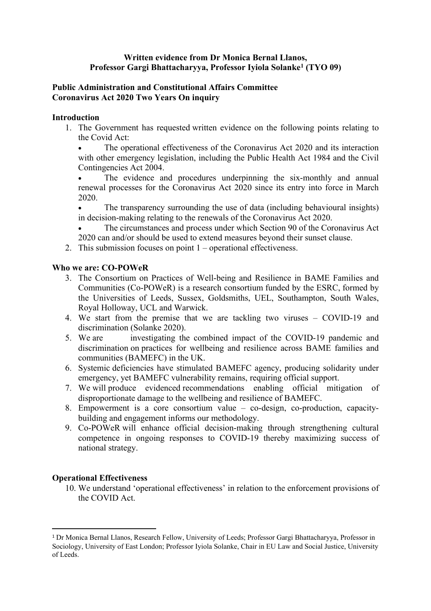## **Written evidence from Dr Monica Bernal Llanos, Professor Gargi Bhattacharyya, Professor Iyiola Solanke<sup>1</sup> (TYO 09)**

## **[Public](https://admin.committees.parliament.uk/Committee/Edit/327) [Administration](https://admin.committees.parliament.uk/Committee/Edit/327) [and](https://admin.committees.parliament.uk/Committee/Edit/327) [Constitutional](https://admin.committees.parliament.uk/Committee/Edit/327) [Affairs](https://admin.committees.parliament.uk/Committee/Edit/327) [Committee](https://admin.committees.parliament.uk/Committee/Edit/327) [Coronavirus](https://admin.committees.parliament.uk/Committee/327/CommitteeBusiness/Edit/1718) [Act](https://admin.committees.parliament.uk/Committee/327/CommitteeBusiness/Edit/1718) [2020](https://admin.committees.parliament.uk/Committee/327/CommitteeBusiness/Edit/1718) [Two](https://admin.committees.parliament.uk/Committee/327/CommitteeBusiness/Edit/1718) [Years](https://admin.committees.parliament.uk/Committee/327/CommitteeBusiness/Edit/1718) [On](https://admin.committees.parliament.uk/Committee/327/CommitteeBusiness/Edit/1718) inquiry**

#### **Introduction**

1. The Government has requested written evidence on the following points relating to the Covid Act:

 The operational effectiveness of the Coronavirus Act 2020 and its interaction with other emergency legislation, including the Public Health Act 1984 and the Civil Contingencies Act 2004.

 The evidence and procedures underpinning the six-monthly and annual renewal processes for the Coronavirus Act 2020 since its entry into force in March 2020.

 The transparency surrounding the use of data (including behavioural insights) in decision-making relating to the renewals of the Coronavirus Act 2020.

 The circumstances and process under which Section 90 of the Coronavirus Act 2020 can and/or should be used to extend measures beyond their sunset clause.

2. This submission focuses on point 1 – operational effectiveness.

#### **Who we are: CO-POWeR**

- 3. The Consortium on Practices of Well-being and Resilience in BAME Families and Communities (Co-POWeR) is a research consortium funded by the ESRC, formed by the Universities of Leeds, Sussex, Goldsmiths, UEL, Southampton, South Wales, Royal Holloway, UCL and Warwick.
- 4. We start from the premise that we are tackling two viruses COVID-19 and discrimination (Solanke 2020).<br>5. We are investigating the
- investigating the combined impact of the COVID-19 pandemic and discrimination on practices for wellbeing and resilience across BAME families and communities (BAMEFC) in the UK.
- 6. Systemic deficiencies have stimulated BAMEFC agency, producing solidarity under emergency, yet BAMEFC vulnerability remains, requiring official support.
- 7. We will produce evidenced recommendations enabling official mitigation of disproportionate damage to the wellbeing and resilience of BAMEFC.
- 8. Empowerment is a core consortium value co-design, co-production, capacitybuilding and engagement informs our methodology.
- 9. Co-POWeR will enhance official decision-making through strengthening cultural competence in ongoing responses to COVID-19 thereby maximizing success of national strategy.

#### **Operational Effectiveness**

10. We understand 'operational effectiveness' in relation to the enforcement provisions of the COVID Act.

<sup>1</sup> Dr Monica Bernal Llanos, Research Fellow, University of Leeds; Professor Gargi Bhattacharyya, Professor in Sociology, University of East London; Professor Iyiola Solanke, Chair in EU Law and Social Justice, University of Leeds.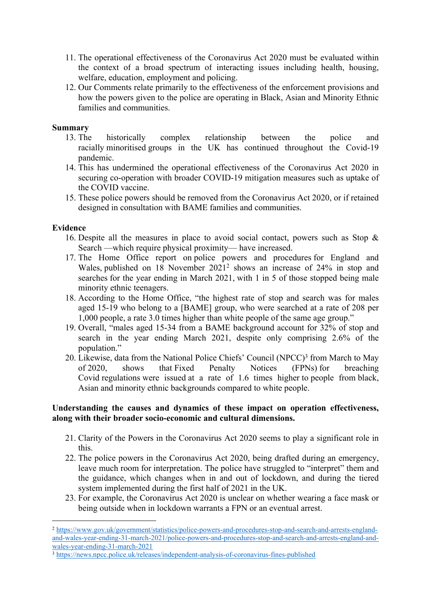- 11. The operational effectiveness of the Coronavirus Act 2020 must be evaluated within the context of a broad spectrum of interacting issues including health, housing, welfare, education, employment and policing.
- 12. Our Comments relate primarily to the effectiveness of the enforcement provisions and how the powers given to the police are operating in Black, Asian and Minority Ethnic families and communities.

## **Summary**

- 13. The historically complex relationship between the police and racially minoritised groups in the UK has continued throughout the Covid-19 pandemic.
- 14. This has undermined the operational effectiveness of the Coronavirus Act 2020 in securing co-operation with broader COVID-19 mitigation measures such as uptake of the COVID vaccine.
- 15. These police powers should be removed from the Coronavirus Act 2020, or if retained designed in consultation with BAME families and communities.

## **Evidence**

- 16. Despite all the measures in place to avoid social contact, powers such as Stop & Search —which require physical proximity— have increased.
- 17. The Home Office report on police powers and procedures for England and Wales, published on 18 November 2021<sup>2</sup> shows an increase of 24% in stop and searches for the year ending in March 2021, with 1 in 5 of those stopped being male minority ethnic teenagers.
- 18. According to the Home Office, "the highest rate of stop and search was for males aged 15-19 who belong to a [BAME] group, who were searched at a rate of 208 per 1,000 people, a rate 3.0 times higher than white people of the same age group."
- 19. Overall, "males aged 15-34 from a BAME background account for 32% of stop and search in the year ending March 2021, despite only comprising 2.6% of the population."
- 20. Likewise, data from the National Police Chiefs' Council (NPCC)<sup>3</sup> from March to May of 2020, shows that Fixed Penalty Notices (FPNs) for breaching Covid regulations were issued at a rate of 1.6 times higher to people from black, Asian and minority ethnic backgrounds compared to white people.

## **Understanding the causes and dynamics of these impact on operation effectiveness, along with their broader socio-economic and cultural dimensions.**

- 21. Clarity of the Powers in the Coronavirus Act 2020 seems to play a significant role in this.
- 22. The police powers in the Coronavirus Act 2020, being drafted during an emergency, leave much room for interpretation. The police have struggled to "interpret" them and the guidance, which changes when in and out of lockdown, and during the tiered system implemented during the first half of 2021 in the UK.
- 23. For example, the Coronavirus Act 2020 is unclear on whether wearing a face mask or being outside when in lockdown warrants a FPN or an eventual arrest.

<sup>2</sup> [https://www.gov.uk/government/statistics/police-powers-and-procedures-stop-and-search-and-arrests-england](https://www.gov.uk/government/statistics/police-powers-and-procedures-stop-and-search-and-arrests-england-and-wales-year-ending-31-march-2021/police-powers-and-procedures-stop-and-search-and-arrests-england-and-wales-year-ending-31-march-2021)[and-wales-year-ending-31-march-2021/police-powers-and-procedures-stop-and-search-and-arrests-england-and](https://www.gov.uk/government/statistics/police-powers-and-procedures-stop-and-search-and-arrests-england-and-wales-year-ending-31-march-2021/police-powers-and-procedures-stop-and-search-and-arrests-england-and-wales-year-ending-31-march-2021)[wales-year-ending-31-march-2021](https://www.gov.uk/government/statistics/police-powers-and-procedures-stop-and-search-and-arrests-england-and-wales-year-ending-31-march-2021/police-powers-and-procedures-stop-and-search-and-arrests-england-and-wales-year-ending-31-march-2021)

<sup>3</sup> <https://news.npcc.police.uk/releases/independent-analysis-of-coronavirus-fines-published>